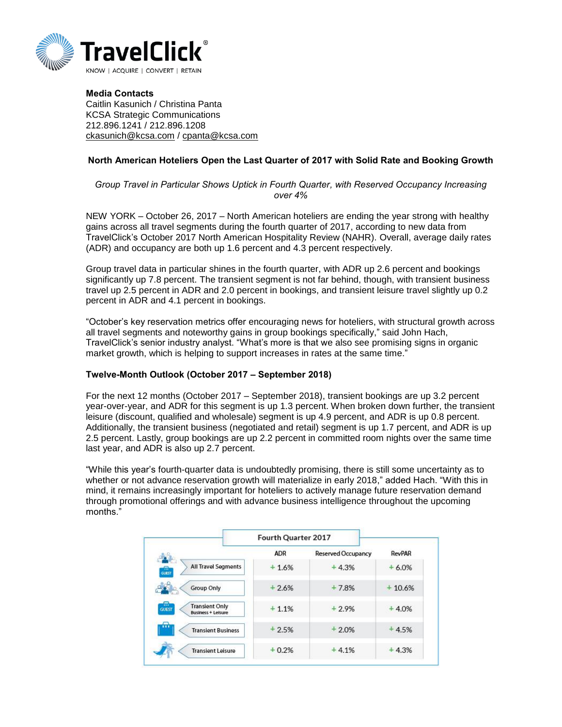

Media Contacts Caitlin Kasunich / Christina Panta KCSA Strategic Communications 212.896.1241 / 212.896.1208 [ckasunich@kcsa.com](mailto:ckasunich@kcsa.com) / [cpanta@kcsa.com](mailto:cpanta@kcsa.com)

## North American Hoteliers Open the Last Quarter of 2017 with Solid Rate and Booking Growth

*Group Travel in Particular Shows Uptick in Fourth Quarter, with Reserved Occupancy Increasing over 4%*

NEW YORK – October 26, 2017 – North American hoteliers are ending the year strong with healthy gains across all travel segments during the fourth quarter of 2017, according to new data from TravelClick's October 2017 North American Hospitality Review (NAHR). Overall, average daily rates (ADR) and occupancy are both up 1.6 percent and 4.3 percent respectively.

Group travel data in particular shines in the fourth quarter, with ADR up 2.6 percent and bookings significantly up 7.8 percent. The transient segment is not far behind, though, with transient business travel up 2.5 percent in ADR and 2.0 percent in bookings, and transient leisure travel slightly up 0.2 percent in ADR and 4.1 percent in bookings.

"October's key reservation metrics offer encouraging news for hoteliers, with structural growth across all travel segments and noteworthy gains in group bookings specifically," said John Hach, TravelClick's senior industry analyst. "What's more is that we also see promising signs in organic market growth, which is helping to support increases in rates at the same time."

## Twelve-Month Outlook (October 2017 – September 2018)

For the next 12 months (October 2017 – September 2018), transient bookings are up 3.2 percent year-over-year, and ADR for this segment is up 1.3 percent. When broken down further, the transient leisure (discount, qualified and wholesale) segment is up 4.9 percent, and ADR is up 0.8 percent. Additionally, the transient business (negotiated and retail) segment is up 1.7 percent, and ADR is up 2.5 percent. Lastly, group bookings are up 2.2 percent in committed room nights over the same time last year, and ADR is also up 2.7 percent.

"While this year's fourth-quarter data is undoubtedly promising, there is still some uncertainty as to whether or not advance reservation growth will materialize in early 2018," added Hach. "With this in mind, it remains increasingly important for hoteliers to actively manage future reservation demand through promotional offerings and with advance business intelligence throughout the upcoming months."

|                                                                         | Fourth Quarter 2017 |                    |         |
|-------------------------------------------------------------------------|---------------------|--------------------|---------|
|                                                                         | <b>ADR</b>          | Reserved Occupancy | RevPAR  |
| <b>All Travel Segments</b><br>e<br>GUEST                                | $+1.6%$             | $+4.3%$            | $+6.0%$ |
| <b>Group Only</b>                                                       | $+2.6%$             | $+7.8%$            | 10.6%   |
| e<br><b>Transient Only</b><br><b>GUEST</b><br><b>Business + Leisure</b> | $+1.1%$             | $+2.9%$            | $+4.0%$ |
| <br><b>Transient Business</b>                                           | $+2.5%$             | $+2.0%$            | 4.5%    |
| <b>Transient Leisure</b>                                                | $+0.2%$             | $+4.1%$            | $+4.3%$ |